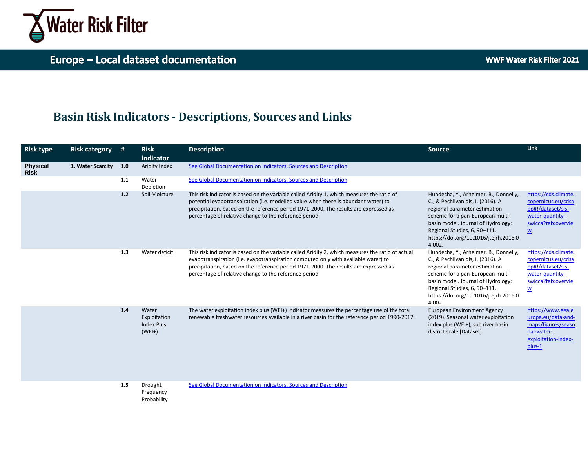

# **Basin Risk Indicators - Descriptions, Sources and Links**

| <b>Risk type</b>               | <b>Risk category</b> | #   | <b>Risk</b><br>indicator                               | <b>Description</b>                                                                                                                                                                                                                                                                                                                        | <b>Source</b>                                                                                                                                                                                                                                                            | Link                                                                                                                                 |
|--------------------------------|----------------------|-----|--------------------------------------------------------|-------------------------------------------------------------------------------------------------------------------------------------------------------------------------------------------------------------------------------------------------------------------------------------------------------------------------------------------|--------------------------------------------------------------------------------------------------------------------------------------------------------------------------------------------------------------------------------------------------------------------------|--------------------------------------------------------------------------------------------------------------------------------------|
| <b>Physical</b><br><b>Risk</b> | 1. Water Scarcity    | 1.0 | Aridity Index                                          | See Global Documentation on Indicators, Sources and Description                                                                                                                                                                                                                                                                           |                                                                                                                                                                                                                                                                          |                                                                                                                                      |
|                                |                      | 1.1 | Water<br>Depletion                                     | See Global Documentation on Indicators, Sources and Description                                                                                                                                                                                                                                                                           |                                                                                                                                                                                                                                                                          |                                                                                                                                      |
|                                |                      | 1.2 | Soil Moisture                                          | This risk indicator is based on the variable called Aridity 1, which measures the ratio of<br>potential evapotranspiration (i.e. modelled value when there is abundant water) to<br>precipitation, based on the reference period 1971-2000. The results are expressed as<br>percentage of relative change to the reference period.        | Hundecha, Y., Arheimer, B., Donnelly,<br>C., & Pechlivanidis, I. (2016). A<br>regional parameter estimation<br>scheme for a pan-European multi-<br>basin model. Journal of Hydrology:<br>Regional Studies, 6, 90-111.<br>https://doi.org/10.1016/j.ejrh.2016.0<br>4.002. | https://cds.climate.<br>copernicus.eu/cdsa<br>pp#!/dataset/sis-<br>water-quantity-<br>swicca?tab:overvie<br>$\underline{w}$          |
|                                |                      | 1.3 | Water deficit                                          | This risk indicator is based on the variable called Aridity 2, which measures the ratio of actual<br>evapotranspiration (i.e. evapotranspiration computed only with available water) to<br>precipitation, based on the reference period 1971-2000. The results are expressed as<br>percentage of relative change to the reference period. | Hundecha, Y., Arheimer, B., Donnelly,<br>C., & Pechlivanidis, I. (2016). A<br>regional parameter estimation<br>scheme for a pan-European multi-<br>basin model. Journal of Hydrology:<br>Regional Studies, 6, 90-111.<br>https://doi.org/10.1016/j.ejrh.2016.0<br>4.002. | https://cds.climate.<br>copernicus.eu/cdsa<br>pp#!/dataset/sis-<br>water-quantity-<br>swicca?tab:overvie<br>$\underline{\mathsf{w}}$ |
|                                |                      | 1.4 | Water<br>Exploitation<br><b>Index Plus</b><br>$(WEI+)$ | The water exploitation index plus (WEI+) indicator measures the percentage use of the total<br>renewable freshwater resources available in a river basin for the reference period 1990-2017.                                                                                                                                              | <b>European Environment Agency</b><br>(2019). Seasonal water exploitation<br>index plus (WEI+), sub river basin<br>district scale [Dataset].                                                                                                                             | https://www.eea.e<br>uropa.eu/data-and-<br>maps/figures/seaso<br>nal-water-<br>exploitation-index-<br>plus-1                         |
|                                |                      | 1.5 | Drought<br>Frequency<br>Probability                    | See Global Documentation on Indicators, Sources and Description                                                                                                                                                                                                                                                                           |                                                                                                                                                                                                                                                                          |                                                                                                                                      |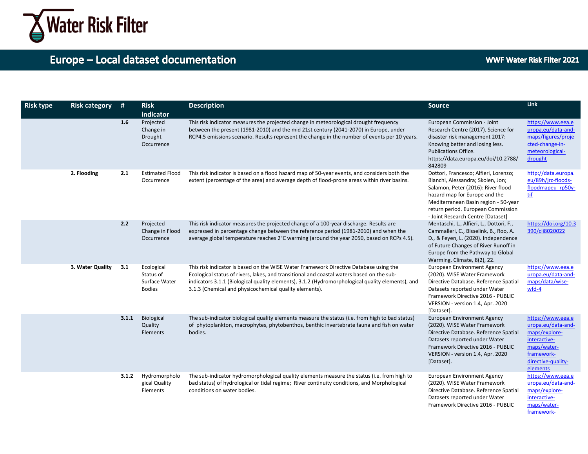

framework-

| <b>Risk type</b> | <b>Risk category</b> | #     | <b>Risk</b>                                               | <b>Description</b>                                                                                                                                                                                                                                                                                                                               | <b>Source</b>                                                                                                                                                                                                                                                        | <b>Link</b>                                                                                                                             |
|------------------|----------------------|-------|-----------------------------------------------------------|--------------------------------------------------------------------------------------------------------------------------------------------------------------------------------------------------------------------------------------------------------------------------------------------------------------------------------------------------|----------------------------------------------------------------------------------------------------------------------------------------------------------------------------------------------------------------------------------------------------------------------|-----------------------------------------------------------------------------------------------------------------------------------------|
|                  |                      |       | indicator                                                 |                                                                                                                                                                                                                                                                                                                                                  |                                                                                                                                                                                                                                                                      |                                                                                                                                         |
|                  |                      | 1.6   | Projected<br>Change in<br>Drought<br>Occurrence           | This risk indicator measures the projected change in meteorological drought frequency<br>between the present (1981-2010) and the mid 21st century (2041-2070) in Europe, under<br>RCP4.5 emissions scenario. Results represent the change in the number of events per 10 years.                                                                  | European Commission - Joint<br>Research Centre (2017). Science for<br>disaster risk management 2017:<br>Knowing better and losing less.<br>Publications Office.<br>https://data.europa.eu/doi/10.2788/<br>842809                                                     | https://www.eea.e<br>uropa.eu/data-and-<br>maps/figures/proje<br>cted-change-in-<br>meteorological-<br>drought                          |
|                  | 2. Flooding          | 2.1   | <b>Estimated Flood</b><br>Occurrence                      | This risk indicator is based on a flood hazard map of 50-year events, and considers both the<br>extent (percentage of the area) and average depth of flood-prone areas within river basins.                                                                                                                                                      | Dottori, Francesco; Alfieri, Lorenzo;<br>Bianchi, Alessandra; Skoien, Jon;<br>Salamon, Peter (2016): River flood<br>hazard map for Europe and the<br>Mediterranean Basin region - 50-year<br>return period. European Commission<br>- Joint Research Centre [Dataset] | http://data.europa.<br>eu/89h/jrc-floods-<br>floodmapeu rp50y-<br>tif                                                                   |
|                  |                      | 2.2   | Projected<br>Change in Flood<br>Occurrence                | This risk indicator measures the projected change of a 100-year discharge. Results are<br>expressed in percentage change between the reference period (1981-2010) and when the<br>average global temperature reaches 2°C warming (around the year 2050, based on RCPs 4.5).                                                                      | Mentaschi, L., Alfieri, L., Dottori, F.,<br>Cammalleri, C., Bisselink, B., Roo, A.<br>D., & Feyen, L. (2020). Independence<br>of Future Changes of River Runoff in<br>Europe from the Pathway to Global<br>Warming. Climate, 8(2), 22.                               | https://doi.org/10.3<br>390/cli8020022                                                                                                  |
|                  | 3. Water Quality     | 3.1   | Ecological<br>Status of<br>Surface Water<br><b>Bodies</b> | This risk indicator is based on the WISE Water Framework Directive Database using the<br>Ecological status of rivers, lakes, and transitional and coastal waters based on the sub-<br>indicators 3.1.1 (Biological quality elements), 3.1.2 (Hydromorphological quality elements), and<br>3.1.3 (Chemical and physicochemical quality elements). | <b>European Environment Agency</b><br>(2020). WISE Water Framework<br>Directive Database. Reference Spatial<br>Datasets reported under Water<br>Framework Directive 2016 - PUBLIC<br>VERSION - version 1.4, Apr. 2020<br>[Dataset].                                  | https://www.eea.e<br>uropa.eu/data-and-<br>maps/data/wise-<br>wfd-4                                                                     |
|                  |                      | 3.1.1 | Biological<br>Quality<br>Elements                         | The sub-indicator biological quality elements measure the status (i.e. from high to bad status)<br>of phytoplankton, macrophytes, phytobenthos, benthic invertebrate fauna and fish on water<br>bodies.                                                                                                                                          | <b>European Environment Agency</b><br>(2020). WISE Water Framework<br>Directive Database. Reference Spatial<br>Datasets reported under Water<br>Framework Directive 2016 - PUBLIC<br>VERSION - version 1.4, Apr. 2020<br>[Dataset].                                  | https://www.eea.e<br>uropa.eu/data-and-<br>maps/explore-<br>interactive-<br>maps/water-<br>framework-<br>directive-quality-<br>elements |
|                  |                      | 3.1.2 | Hydromorpholo<br>gical Quality<br>Elements                | The sub-indicator hydromorphological quality elements measure the status (i.e. from high to<br>bad status) of hydrological or tidal regime; River continuity conditions, and Morphological<br>conditions on water bodies.                                                                                                                        | <b>European Environment Agency</b><br>(2020). WISE Water Framework<br>Directive Database. Reference Spatial<br>Datasets reported under Water<br>Framework Directive 2016 - PUBLIC                                                                                    | https://www.eea.e<br>uropa.eu/data-and-<br>maps/explore-<br>interactive-<br>maps/water-                                                 |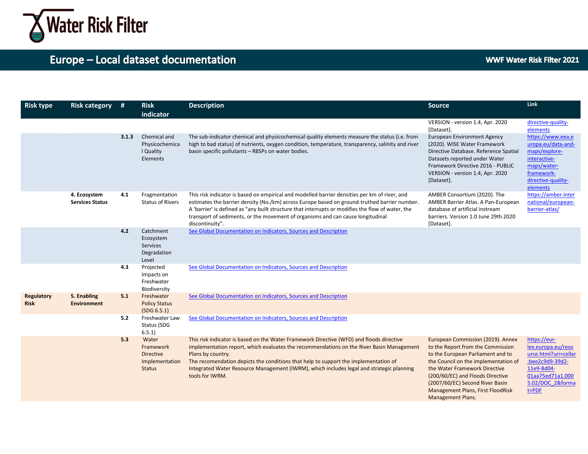

| <b>Risk type</b>          | <b>Risk category</b>                   | - #   | <b>Risk</b><br>indicator                                                  | <b>Description</b>                                                                                                                                                                                                                                                                                                                                                                                              | <b>Source</b>                                                                                                                                                                                                                                                                                                        | Link                                                                                                                                             |
|---------------------------|----------------------------------------|-------|---------------------------------------------------------------------------|-----------------------------------------------------------------------------------------------------------------------------------------------------------------------------------------------------------------------------------------------------------------------------------------------------------------------------------------------------------------------------------------------------------------|----------------------------------------------------------------------------------------------------------------------------------------------------------------------------------------------------------------------------------------------------------------------------------------------------------------------|--------------------------------------------------------------------------------------------------------------------------------------------------|
|                           |                                        |       |                                                                           |                                                                                                                                                                                                                                                                                                                                                                                                                 | VERSION - version 1.4, Apr. 2020<br>[Dataset].                                                                                                                                                                                                                                                                       | directive-quality-<br>elements                                                                                                                   |
|                           |                                        | 3.1.3 | Chemical and<br>Physicochemica<br>I Quality<br>Elements                   | The sub-indicator chemical and physicochemical quality elements measure the status (i.e. from<br>high to bad status) of nutrients, oxygen condition, temperature, transparency, salinity and river<br>basin specific pollutants - RBSPs on water bodies.                                                                                                                                                        | <b>European Environment Agency</b><br>(2020). WISE Water Framework<br>Directive Database. Reference Spatial<br>Datasets reported under Water<br>Framework Directive 2016 - PUBLIC<br>VERSION - version 1.4, Apr. 2020<br>[Dataset].                                                                                  | https://www.eea.e<br>uropa.eu/data-and-<br>maps/explore-<br>interactive-<br>maps/water-<br>framework-<br>directive-quality-<br>elements          |
|                           | 4. Ecosystem<br><b>Services Status</b> | 4.1   | Fragmentation<br><b>Status of Rivers</b>                                  | This risk indicator is based on empirical and modelled barrier densities per km of river, and<br>estimates the barrier density (No./km) across Europe based on ground-truthed barrier number.<br>A 'barrier' is defined as "any built structure that interrupts or modifies the flow of water, the<br>transport of sediments, or the movement of organisms and can cause longitudinal<br>discontinuity".        | AMBER Consortium (2020). The<br>AMBER Barrier Atlas. A Pan-European<br>database of artificial instream<br>barriers. Version 1.0 June 29th 2020<br>[Dataset].                                                                                                                                                         | https://amber.inter<br>national/european-<br>barrier-atlas/                                                                                      |
|                           |                                        | 4.2   | Catchment<br>Ecosystem<br><b>Services</b><br>Degradation<br>Level         | See Global Documentation on Indicators, Sources and Description                                                                                                                                                                                                                                                                                                                                                 |                                                                                                                                                                                                                                                                                                                      |                                                                                                                                                  |
|                           |                                        | 4.3   | Projected<br>Impacts on<br>Freshwater<br>Biodiversity                     | See Global Documentation on Indicators, Sources and Description                                                                                                                                                                                                                                                                                                                                                 |                                                                                                                                                                                                                                                                                                                      |                                                                                                                                                  |
| Regulatory<br><b>Risk</b> | 5. Enabling<br><b>Environment</b>      | 5.1   | Freshwater<br><b>Policy Status</b><br>(SDG 6.5.1)                         | See Global Documentation on Indicators, Sources and Description                                                                                                                                                                                                                                                                                                                                                 |                                                                                                                                                                                                                                                                                                                      |                                                                                                                                                  |
|                           |                                        | 5.2   | Freshwater Law<br>Status (SDG<br>6.5.1                                    | See Global Documentation on Indicators, Sources and Description                                                                                                                                                                                                                                                                                                                                                 |                                                                                                                                                                                                                                                                                                                      |                                                                                                                                                  |
|                           |                                        | 5.3   | Water<br>Framework<br><b>Directive</b><br>Implementation<br><b>Status</b> | This risk indicator is based on the Water Framework Directive (WFD) and floods directive<br>implementation report, which evaluates the recommendations on the River Basin Management<br>Plans by country.<br>The recomendation depicts the conditions that help to support the implementation of<br>Integrated Water Resource Management (IWRM), which includes legal and strategic planning<br>tools for IWRM. | European Commission (2019). Annex<br>to the Report from the Commission<br>to the European Parliament and to<br>the Council on the implementation of<br>the Water Framework Directive<br>(200/60/EC) and Floods Directive<br>(2007/60/EC) Second River Basin<br>Management Plans, First FloodRisk<br>Management Plans | https://eur-<br>lex.europa.eu/reso<br>urce.html?uri=cellar<br>:bee2c9d9-39d2-<br>11e9-8d04-<br>01aa75ed71a1.000<br>5.02/DOC 2&forma<br>$t = PDF$ |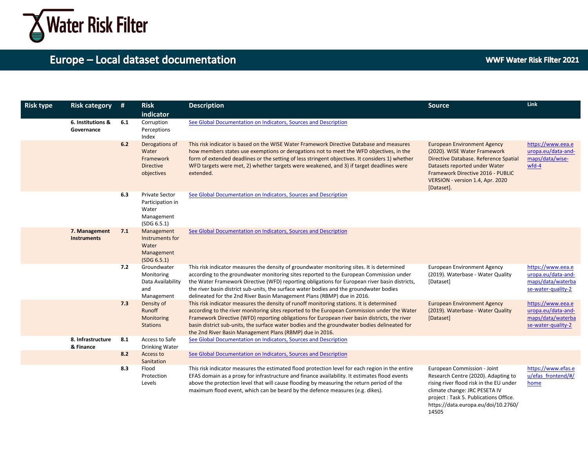

14505

| <b>Risk type</b> | <b>Risk category</b>                | #   | <b>Risk</b><br>indicator                                                        | <b>Description</b>                                                                                                                                                                                                                                                                                                                                                                                                                                           | <b>Source</b>                                                                                                                                                                                                                       | <b>Link</b>                                                                        |
|------------------|-------------------------------------|-----|---------------------------------------------------------------------------------|--------------------------------------------------------------------------------------------------------------------------------------------------------------------------------------------------------------------------------------------------------------------------------------------------------------------------------------------------------------------------------------------------------------------------------------------------------------|-------------------------------------------------------------------------------------------------------------------------------------------------------------------------------------------------------------------------------------|------------------------------------------------------------------------------------|
|                  | 6. Institutions &<br>Governance     | 6.1 | Corruption<br>Perceptions<br>Index                                              | See Global Documentation on Indicators, Sources and Description                                                                                                                                                                                                                                                                                                                                                                                              |                                                                                                                                                                                                                                     |                                                                                    |
|                  |                                     | 6.2 | Derogations of<br>Water<br>Framework<br><b>Directive</b><br>objectives          | This risk indicator is based on the WISE Water Framework Directive Database and measures<br>how members states use exemptions or derogations not to meet the WFD objectives, in the<br>form of extended deadlines or the setting of less stringent objectives. It considers 1) whether<br>WFD targets were met, 2) whether targets were weakened, and 3) if target deadlines were<br>extended.                                                               | <b>European Environment Agency</b><br>(2020). WISE Water Framework<br>Directive Database. Reference Spatial<br>Datasets reported under Water<br>Framework Directive 2016 - PUBLIC<br>VERSION - version 1.4, Apr. 2020<br>[Dataset]. | https://www.eea.e<br>uropa.eu/data-and-<br>maps/data/wise-<br>wfd-4                |
|                  |                                     | 6.3 | <b>Private Sector</b><br>Participation in<br>Water<br>Management<br>(SDG 6.5.1) | See Global Documentation on Indicators, Sources and Description                                                                                                                                                                                                                                                                                                                                                                                              |                                                                                                                                                                                                                                     |                                                                                    |
|                  | 7. Management<br><b>Instruments</b> | 7.1 | Management<br>Instruments for<br>Water<br>Management<br>(SDG 6.5.1)             | See Global Documentation on Indicators, Sources and Description                                                                                                                                                                                                                                                                                                                                                                                              |                                                                                                                                                                                                                                     |                                                                                    |
|                  |                                     | 7.2 | Groundwater<br>Monitoring<br>Data Availability<br>and<br>Management             | This risk indicator measures the density of groundwater monitoring sites. It is determined<br>according to the groundwater monitoring sites reported to the European Commission under<br>the Water Framework Directive (WFD) reporting obligations for European river basin districts,<br>the river basin district sub-units, the surface water bodies and the groundwater bodies<br>delineated for the 2nd River Basin Management Plans (RBMP) due in 2016. | <b>European Environment Agency</b><br>(2019). Waterbase - Water Quality<br>[Dataset]                                                                                                                                                | https://www.eea.e<br>uropa.eu/data-and-<br>maps/data/waterba<br>se-water-quality-2 |
|                  |                                     | 7.3 | Density of<br>Runoff<br>Monitoring<br><b>Stations</b>                           | This risk indicator measures the density of runoff monitoring stations. It is determined<br>according to the river monitoring sites reported to the European Commission under the Water<br>Framework Directive (WFD) reporting obligations for European river basin districts, the river<br>basin district sub-units, the surface water bodies and the groundwater bodies delineated for<br>the 2nd River Basin Management Plans (RBMP) due in 2016.         | <b>European Environment Agency</b><br>(2019). Waterbase - Water Quality<br>[Dataset]                                                                                                                                                | https://www.eea.e<br>uropa.eu/data-and-<br>maps/data/waterba<br>se-water-quality-2 |
|                  | 8. Infrastructure<br>& Finance      | 8.1 | Access to Safe<br><b>Drinking Water</b>                                         | See Global Documentation on Indicators, Sources and Description                                                                                                                                                                                                                                                                                                                                                                                              |                                                                                                                                                                                                                                     |                                                                                    |
|                  |                                     | 8.2 | Access to<br>Sanitation                                                         | See Global Documentation on Indicators, Sources and Description                                                                                                                                                                                                                                                                                                                                                                                              |                                                                                                                                                                                                                                     |                                                                                    |
|                  |                                     | 8.3 | Flood<br>Protection<br>Levels                                                   | This risk indicator measures the estimated flood protection level for each region in the entire<br>EFAS domain as a proxy for infrastructure and finance availability. It estimates flood events<br>above the protection level that will cause flooding by measuring the return period of the<br>maximum flood event, which can be beard by the defence measures (e.g. dikes).                                                                               | European Commission - Joint<br>Research Centre (2020). Adapting to<br>rising river flood risk in the EU under<br>climate change: JRC PESETA IV<br>project : Task 5. Publications Office.<br>https://data.europa.eu/doi/10.2760/     | https://www.efas.e<br>u/efas frontend/#/<br>home                                   |